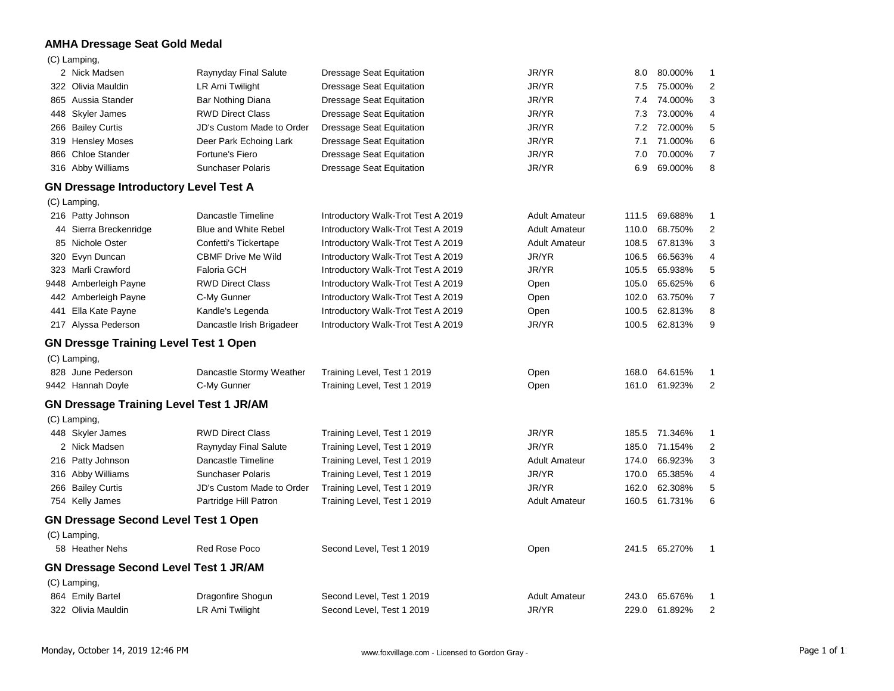## **AMHA Dressage Seat Gold Medal**

#### (C) Lamping,

| 2 Nick Madsen                                  | Raynyday Final Salute       | <b>Dressage Seat Equitation</b>    | JR/YR                | 8.0   | 80.000%       | 1              |
|------------------------------------------------|-----------------------------|------------------------------------|----------------------|-------|---------------|----------------|
| 322 Olivia Mauldin                             | LR Ami Twilight             | <b>Dressage Seat Equitation</b>    | JR/YR                | 7.5   | 75.000%       | 2              |
| 865 Aussia Stander                             | Bar Nothing Diana           | <b>Dressage Seat Equitation</b>    | JR/YR                | 7.4   | 74.000%       | 3              |
| 448 Skyler James                               | <b>RWD Direct Class</b>     | <b>Dressage Seat Equitation</b>    | JR/YR                | 7.3   | 73.000%       | 4              |
| 266 Bailey Curtis                              | JD's Custom Made to Order   | <b>Dressage Seat Equitation</b>    | JR/YR                | 7.2   | 72.000%       | 5              |
| 319 Hensley Moses                              | Deer Park Echoing Lark      | <b>Dressage Seat Equitation</b>    | JR/YR                | 7.1   | 71.000%       | 6              |
| 866 Chloe Stander                              | Fortune's Fiero             | Dressage Seat Equitation           | JR/YR                | 7.0   | 70.000%       | 7              |
| 316 Abby Williams                              | Sunchaser Polaris           | Dressage Seat Equitation           | JR/YR                | 6.9   | 69.000%       | 8              |
| <b>GN Dressage Introductory Level Test A</b>   |                             |                                    |                      |       |               |                |
| (C) Lamping,                                   |                             |                                    |                      |       |               |                |
| 216 Patty Johnson                              | Dancastle Timeline          | Introductory Walk-Trot Test A 2019 | <b>Adult Amateur</b> | 111.5 | 69.688%       | $\mathbf{1}$   |
| 44 Sierra Breckenridge                         | <b>Blue and White Rebel</b> | Introductory Walk-Trot Test A 2019 | <b>Adult Amateur</b> | 110.0 | 68.750%       | 2              |
| 85 Nichole Oster                               | Confetti's Tickertape       | Introductory Walk-Trot Test A 2019 | <b>Adult Amateur</b> | 108.5 | 67.813%       | 3              |
| 320 Evyn Duncan                                | <b>CBMF Drive Me Wild</b>   | Introductory Walk-Trot Test A 2019 | JR/YR                | 106.5 | 66.563%       | 4              |
| 323 Marli Crawford                             | <b>Faloria GCH</b>          | Introductory Walk-Trot Test A 2019 | JR/YR                | 105.5 | 65.938%       | 5              |
| 9448 Amberleigh Payne                          | <b>RWD Direct Class</b>     | Introductory Walk-Trot Test A 2019 | Open                 | 105.0 | 65.625%       | 6              |
| 442 Amberleigh Payne                           | C-My Gunner                 | Introductory Walk-Trot Test A 2019 | Open                 | 102.0 | 63.750%       | $\overline{7}$ |
| 441 Ella Kate Payne                            | Kandle's Legenda            | Introductory Walk-Trot Test A 2019 | Open                 | 100.5 | 62.813%       | 8              |
| 217 Alyssa Pederson                            | Dancastle Irish Brigadeer   | Introductory Walk-Trot Test A 2019 | JR/YR                |       | 100.5 62.813% | 9              |
| <b>GN Dressge Training Level Test 1 Open</b>   |                             |                                    |                      |       |               |                |
| (C) Lamping,                                   |                             |                                    |                      |       |               |                |
| 828 June Pederson                              | Dancastle Stormy Weather    | Training Level, Test 1 2019        | Open                 |       | 168.0 64.615% | $\mathbf{1}$   |
| 9442 Hannah Doyle                              | C-My Gunner                 | Training Level, Test 1 2019        | Open                 |       | 161.0 61.923% | $\overline{2}$ |
| <b>GN Dressage Training Level Test 1 JR/AM</b> |                             |                                    |                      |       |               |                |
| (C) Lamping,                                   |                             |                                    |                      |       |               |                |
| 448 Skyler James                               | <b>RWD Direct Class</b>     | Training Level, Test 1 2019        | JR/YR                | 185.5 | 71.346%       | $\mathbf{1}$   |
| 2 Nick Madsen                                  | Raynyday Final Salute       | Training Level, Test 1 2019        | JR/YR                | 185.0 | 71.154%       | $\overline{2}$ |
| 216 Patty Johnson                              | Dancastle Timeline          | Training Level, Test 1 2019        | <b>Adult Amateur</b> | 174.0 | 66.923%       | 3              |
| 316 Abby Williams                              | <b>Sunchaser Polaris</b>    | Training Level, Test 1 2019        | JR/YR                | 170.0 | 65.385%       | 4              |
| 266 Bailey Curtis                              | JD's Custom Made to Order   | Training Level, Test 1 2019        | JR/YR                | 162.0 | 62.308%       | 5              |
| 754 Kelly James                                | Partridge Hill Patron       | Training Level, Test 1 2019        | <b>Adult Amateur</b> |       | 160.5 61.731% | 6              |
| <b>GN Dressage Second Level Test 1 Open</b>    |                             |                                    |                      |       |               |                |
| (C) Lamping,                                   |                             |                                    |                      |       |               |                |
| 58 Heather Nehs                                | <b>Red Rose Poco</b>        | Second Level, Test 1 2019          | Open                 |       | 241.5 65.270% | $\mathbf{1}$   |
| <b>GN Dressage Second Level Test 1 JR/AM</b>   |                             |                                    |                      |       |               |                |
| (C) Lamping,                                   |                             |                                    |                      |       |               |                |
| 864 Emily Bartel                               | Dragonfire Shogun           | Second Level, Test 1 2019          | <b>Adult Amateur</b> | 243.0 | 65.676%       | $\mathbf{1}$   |
| 322 Olivia Mauldin                             | LR Ami Twilight             | Second Level, Test 1 2019          | JR/YR                |       | 229.0 61.892% | 2              |
|                                                |                             |                                    |                      |       |               |                |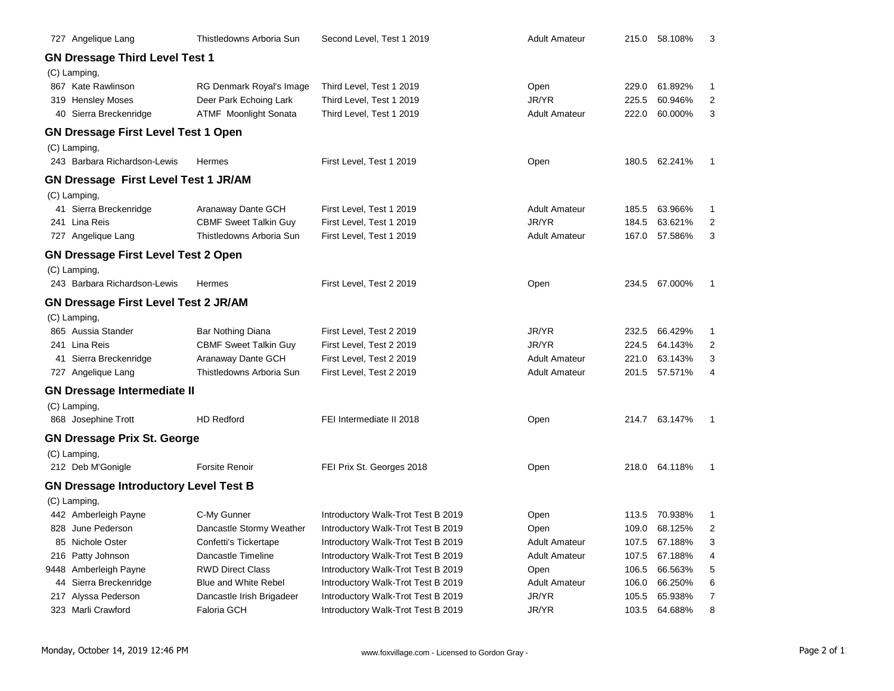| 727 Angelique Lang                           | Thistledowns Arboria Sun     | Second Level, Test 1 2019          | <b>Adult Amateur</b> |       | 215.0 58.108% | 3              |
|----------------------------------------------|------------------------------|------------------------------------|----------------------|-------|---------------|----------------|
| <b>GN Dressage Third Level Test 1</b>        |                              |                                    |                      |       |               |                |
| (C) Lamping,                                 |                              |                                    |                      |       |               |                |
| 867 Kate Rawlinson                           | RG Denmark Royal's Image     | Third Level, Test 1 2019           | Open                 | 229.0 | 61.892%       | 1              |
| 319 Hensley Moses                            | Deer Park Echoing Lark       | Third Level, Test 1 2019           | JR/YR                | 225.5 | 60.946%       | 2              |
| 40 Sierra Breckenridge                       | <b>ATMF</b> Moonlight Sonata | Third Level, Test 1 2019           | <b>Adult Amateur</b> | 222.0 | 60.000%       | 3              |
| <b>GN Dressage First Level Test 1 Open</b>   |                              |                                    |                      |       |               |                |
| (C) Lamping,                                 |                              |                                    |                      |       |               |                |
| 243 Barbara Richardson-Lewis                 | Hermes                       | First Level, Test 1 2019           | Open                 | 180.5 | 62.241%       | 1              |
| <b>GN Dressage First Level Test 1 JR/AM</b>  |                              |                                    |                      |       |               |                |
| (C) Lamping,                                 |                              |                                    |                      |       |               |                |
| 41 Sierra Breckenridge                       | Aranaway Dante GCH           | First Level, Test 1 2019           | <b>Adult Amateur</b> | 185.5 | 63.966%       | $\mathbf{1}$   |
| 241 Lina Reis                                | <b>CBMF Sweet Talkin Guy</b> | First Level, Test 1 2019           | JR/YR                | 184.5 | 63.621%       | 2              |
| 727 Angelique Lang                           | Thistledowns Arboria Sun     | First Level, Test 1 2019           | <b>Adult Amateur</b> | 167.0 | 57.586%       | 3              |
| <b>GN Dressage First Level Test 2 Open</b>   |                              |                                    |                      |       |               |                |
| (C) Lamping,                                 |                              |                                    |                      |       |               |                |
| 243 Barbara Richardson-Lewis                 | Hermes                       | First Level, Test 2 2019           | Open                 | 234.5 | 67.000%       | 1              |
| <b>GN Dressage First Level Test 2 JR/AM</b>  |                              |                                    |                      |       |               |                |
| (C) Lamping,                                 |                              |                                    |                      |       |               |                |
| 865 Aussia Stander                           | Bar Nothing Diana            | First Level, Test 2 2019           | JR/YR                | 232.5 | 66.429%       | 1              |
| 241 Lina Reis                                | <b>CBMF Sweet Talkin Guy</b> | First Level, Test 2 2019           | JR/YR                | 224.5 | 64.143%       | 2              |
| 41 Sierra Breckenridge                       | Aranaway Dante GCH           | First Level, Test 2 2019           | <b>Adult Amateur</b> | 221.0 | 63.143%       | 3              |
| 727 Angelique Lang                           | Thistledowns Arboria Sun     | First Level, Test 2 2019           | <b>Adult Amateur</b> | 201.5 | 57.571%       | 4              |
| <b>GN Dressage Intermediate II</b>           |                              |                                    |                      |       |               |                |
| (C) Lamping,                                 |                              |                                    |                      |       |               |                |
| 868 Josephine Trott                          | <b>HD Redford</b>            | FEI Intermediate II 2018           | Open                 |       | 214.7 63.147% | 1              |
| <b>GN Dressage Prix St. George</b>           |                              |                                    |                      |       |               |                |
| (C) Lamping,                                 |                              |                                    |                      |       |               |                |
| 212 Deb M'Gonigle                            | <b>Forsite Renoir</b>        | FEI Prix St. Georges 2018          | Open                 | 218.0 | 64.118%       | 1              |
| <b>GN Dressage Introductory Level Test B</b> |                              |                                    |                      |       |               |                |
| (C) Lamping,                                 |                              |                                    |                      |       |               |                |
| 442 Amberleigh Payne                         | C-My Gunner                  | Introductory Walk-Trot Test B 2019 | Open                 | 113.5 | 70.938%       | 1              |
| 828 June Pederson                            | Dancastle Stormy Weather     | Introductory Walk-Trot Test B 2019 | Open                 | 109.0 | 68.125%       | $\overline{2}$ |
| 85 Nichole Oster                             | Confetti's Tickertape        | Introductory Walk-Trot Test B 2019 | <b>Adult Amateur</b> | 107.5 | 67.188%       | 3              |
| 216 Patty Johnson                            | Dancastle Timeline           | Introductory Walk-Trot Test B 2019 | <b>Adult Amateur</b> | 107.5 | 67.188%       | 4              |
| 9448 Amberleigh Payne                        | <b>RWD Direct Class</b>      | Introductory Walk-Trot Test B 2019 | Open                 | 106.5 | 66.563%       | 5              |
| 44 Sierra Breckenridge                       | <b>Blue and White Rebel</b>  | Introductory Walk-Trot Test B 2019 | <b>Adult Amateur</b> | 106.0 | 66.250%       | 6              |
| 217 Alyssa Pederson                          | Dancastle Irish Brigadeer    | Introductory Walk-Trot Test B 2019 | JR/YR                | 105.5 | 65.938%       | $\overline{7}$ |
| 323 Marli Crawford                           | <b>Faloria GCH</b>           | Introductory Walk-Trot Test B 2019 | JR/YR                | 103.5 | 64.688%       | 8              |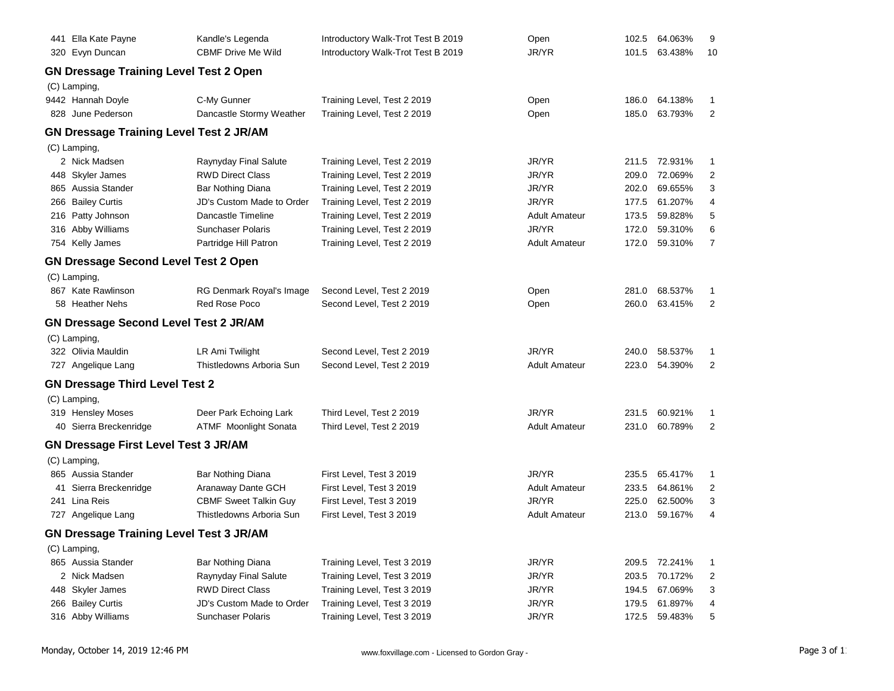| 441 Ella Kate Payne                            | Kandle's Legenda             | Introductory Walk-Trot Test B 2019 | Open                 | 102.5 | 64.063%       | 9              |
|------------------------------------------------|------------------------------|------------------------------------|----------------------|-------|---------------|----------------|
| 320 Evyn Duncan                                | <b>CBMF Drive Me Wild</b>    | Introductory Walk-Trot Test B 2019 | JR/YR                | 101.5 | 63.438%       | 10             |
| <b>GN Dressage Training Level Test 2 Open</b>  |                              |                                    |                      |       |               |                |
| (C) Lamping,                                   |                              |                                    |                      |       |               |                |
| 9442 Hannah Doyle                              | C-My Gunner                  | Training Level, Test 2 2019        | Open                 | 186.0 | 64.138%       | 1              |
| 828 June Pederson                              | Dancastle Stormy Weather     | Training Level, Test 2 2019        | Open                 | 185.0 | 63.793%       | 2              |
| <b>GN Dressage Training Level Test 2 JR/AM</b> |                              |                                    |                      |       |               |                |
| (C) Lamping,                                   |                              |                                    |                      |       |               |                |
| 2 Nick Madsen                                  | Raynyday Final Salute        | Training Level, Test 2 2019        | JR/YR                | 211.5 | 72.931%       | 1              |
| 448 Skyler James                               | <b>RWD Direct Class</b>      | Training Level, Test 2 2019        | JR/YR                | 209.0 | 72.069%       | 2              |
| 865 Aussia Stander                             | Bar Nothing Diana            | Training Level, Test 2 2019        | JR/YR                | 202.0 | 69.655%       | 3              |
| 266 Bailey Curtis                              | JD's Custom Made to Order    | Training Level, Test 2 2019        | JR/YR                | 177.5 | 61.207%       | 4              |
| 216 Patty Johnson                              | Dancastle Timeline           | Training Level, Test 2 2019        | <b>Adult Amateur</b> | 173.5 | 59.828%       | 5              |
| 316 Abby Williams                              | <b>Sunchaser Polaris</b>     | Training Level, Test 2 2019        | JR/YR                | 172.0 | 59.310%       | 6              |
| 754 Kelly James                                | Partridge Hill Patron        | Training Level, Test 2 2019        | <b>Adult Amateur</b> | 172.0 | 59.310%       | $\overline{7}$ |
| <b>GN Dressage Second Level Test 2 Open</b>    |                              |                                    |                      |       |               |                |
| (C) Lamping,                                   |                              |                                    |                      |       |               |                |
| 867 Kate Rawlinson                             | RG Denmark Royal's Image     | Second Level, Test 2 2019          | Open                 | 281.0 | 68.537%       | 1              |
| 58 Heather Nehs                                | Red Rose Poco                | Second Level, Test 2 2019          | Open                 | 260.0 | 63.415%       | 2              |
| <b>GN Dressage Second Level Test 2 JR/AM</b>   |                              |                                    |                      |       |               |                |
| (C) Lamping,                                   |                              |                                    |                      |       |               |                |
| 322 Olivia Mauldin                             | LR Ami Twilight              | Second Level, Test 2 2019          | JR/YR                | 240.0 | 58.537%       | 1              |
| 727 Angelique Lang                             | Thistledowns Arboria Sun     | Second Level, Test 2 2019          | <b>Adult Amateur</b> | 223.0 | 54.390%       | $\overline{c}$ |
| <b>GN Dressage Third Level Test 2</b>          |                              |                                    |                      |       |               |                |
| (C) Lamping,                                   |                              |                                    |                      |       |               |                |
| 319 Hensley Moses                              | Deer Park Echoing Lark       | Third Level, Test 2 2019           | JR/YR                | 231.5 | 60.921%       | 1              |
| 40 Sierra Breckenridge                         | ATMF Moonlight Sonata        | Third Level, Test 2 2019           | <b>Adult Amateur</b> | 231.0 | 60.789%       | 2              |
| <b>GN Dressage First Level Test 3 JR/AM</b>    |                              |                                    |                      |       |               |                |
| (C) Lamping,                                   |                              |                                    |                      |       |               |                |
| 865 Aussia Stander                             | Bar Nothing Diana            | First Level, Test 3 2019           | JR/YR                | 235.5 | 65.417%       | 1              |
| 41 Sierra Breckenridge                         | Aranaway Dante GCH           | First Level, Test 3 2019           | <b>Adult Amateur</b> | 233.5 | 64.861%       | 2              |
| 241 Lina Reis                                  | <b>CBMF Sweet Talkin Guy</b> | First Level, Test 3 2019           | JR/YR                | 225.0 | 62.500%       | 3              |
| 727 Angelique Lang                             | Thistledowns Arboria Sun     | First Level, Test 3 2019           | <b>Adult Amateur</b> | 213.0 | 59.167%       | 4              |
| <b>GN Dressage Training Level Test 3 JR/AM</b> |                              |                                    |                      |       |               |                |
| (C) Lamping,                                   |                              |                                    |                      |       |               |                |
| 865 Aussia Stander                             | <b>Bar Nothing Diana</b>     | Training Level, Test 3 2019        | JR/YR                |       | 209.5 72.241% | 1              |
| 2 Nick Madsen                                  | Raynyday Final Salute        | Training Level, Test 3 2019        | JR/YR                | 203.5 | 70.172%       | 2              |
| 448 Skyler James                               | <b>RWD Direct Class</b>      | Training Level, Test 3 2019        | JR/YR                | 194.5 | 67.069%       | 3              |
| 266 Bailey Curtis                              | JD's Custom Made to Order    | Training Level, Test 3 2019        | JR/YR                | 179.5 | 61.897%       | 4              |
| 316 Abby Williams                              | Sunchaser Polaris            | Training Level, Test 3 2019        | JR/YR                | 172.5 | 59.483%       | 5              |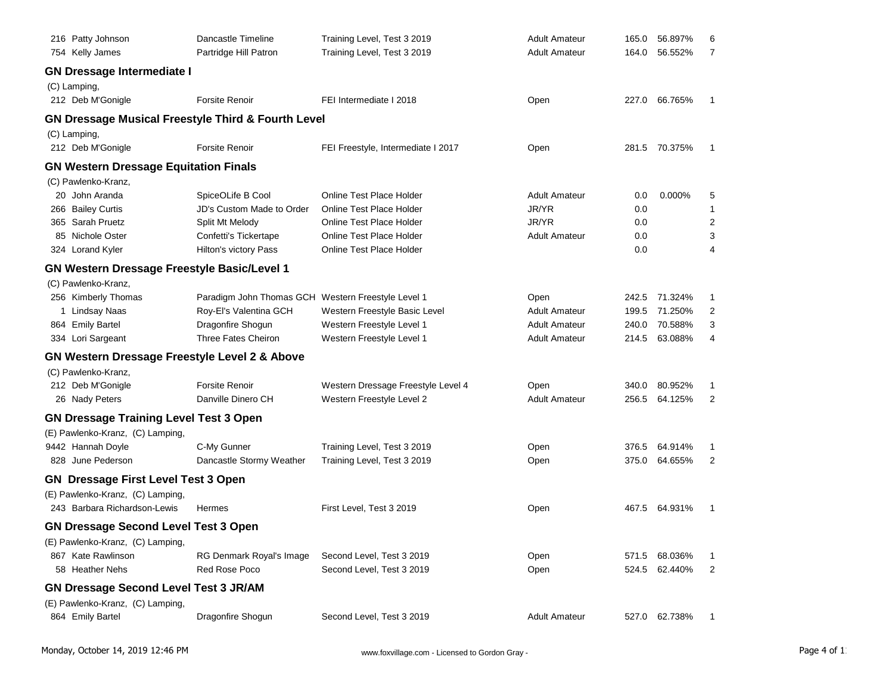| 216 Patty Johnson                                  | Dancastle Timeline                                            | Training Level, Test 3 2019        | <b>Adult Amateur</b> | 165.0 | 56.897%       | 6              |
|----------------------------------------------------|---------------------------------------------------------------|------------------------------------|----------------------|-------|---------------|----------------|
| 754 Kelly James                                    | Partridge Hill Patron                                         | Training Level, Test 3 2019        | <b>Adult Amateur</b> | 164.0 | 56.552%       | $\overline{7}$ |
| <b>GN Dressage Intermediate I</b>                  |                                                               |                                    |                      |       |               |                |
| (C) Lamping,                                       |                                                               |                                    |                      |       |               |                |
| 212 Deb M'Gonigle                                  | <b>Forsite Renoir</b>                                         | FEI Intermediate I 2018            | Open                 | 227.0 | 66.765%       | 1              |
|                                                    | <b>GN Dressage Musical Freestyle Third &amp; Fourth Level</b> |                                    |                      |       |               |                |
| (C) Lamping,                                       |                                                               |                                    |                      |       |               |                |
| 212 Deb M'Gonigle                                  | <b>Forsite Renoir</b>                                         | FEI Freestyle, Intermediate I 2017 | Open                 | 281.5 | 70.375%       | 1              |
| <b>GN Western Dressage Equitation Finals</b>       |                                                               |                                    |                      |       |               |                |
| (C) Pawlenko-Kranz,                                |                                                               |                                    |                      |       |               |                |
| 20 John Aranda                                     | SpiceOLife B Cool                                             | Online Test Place Holder           | <b>Adult Amateur</b> | 0.0   | 0.000%        | 5              |
| 266 Bailey Curtis                                  | JD's Custom Made to Order                                     | Online Test Place Holder           | JR/YR                | 0.0   |               | 1              |
| 365 Sarah Pruetz                                   | Split Mt Melody                                               | Online Test Place Holder           | JR/YR                | 0.0   |               | 2              |
| 85 Nichole Oster                                   | Confetti's Tickertape                                         | Online Test Place Holder           | <b>Adult Amateur</b> | 0.0   |               | 3              |
| 324 Lorand Kyler                                   | Hilton's victory Pass                                         | Online Test Place Holder           |                      | 0.0   |               | 4              |
| <b>GN Western Dressage Freestyle Basic/Level 1</b> |                                                               |                                    |                      |       |               |                |
| (C) Pawlenko-Kranz,                                |                                                               |                                    |                      |       |               |                |
| 256 Kimberly Thomas                                | Paradigm John Thomas GCH Western Freestyle Level 1            |                                    | Open                 | 242.5 | 71.324%       | 1              |
| 1 Lindsay Naas                                     | Roy-El's Valentina GCH                                        | Western Freestyle Basic Level      | <b>Adult Amateur</b> | 199.5 | 71.250%       | 2              |
| 864 Emily Bartel                                   | Dragonfire Shogun                                             | Western Freestyle Level 1          | <b>Adult Amateur</b> | 240.0 | 70.588%       | 3              |
| 334 Lori Sargeant                                  | Three Fates Cheiron                                           | Western Freestyle Level 1          | <b>Adult Amateur</b> | 214.5 | 63.088%       | 4              |
| GN Western Dressage Freestyle Level 2 & Above      |                                                               |                                    |                      |       |               |                |
| (C) Pawlenko-Kranz,                                |                                                               |                                    |                      |       |               |                |
| 212 Deb M'Gonigle                                  | <b>Forsite Renoir</b>                                         | Western Dressage Freestyle Level 4 | Open                 | 340.0 | 80.952%       | 1              |
| 26 Nady Peters                                     | Danville Dinero CH                                            | Western Freestyle Level 2          | <b>Adult Amateur</b> | 256.5 | 64.125%       | 2              |
| <b>GN Dressage Training Level Test 3 Open</b>      |                                                               |                                    |                      |       |               |                |
| (E) Pawlenko-Kranz, (C) Lamping,                   |                                                               |                                    |                      |       |               |                |
| 9442 Hannah Doyle                                  | C-My Gunner                                                   | Training Level, Test 3 2019        | Open                 | 376.5 | 64.914%       | 1              |
| 828 June Pederson                                  | Dancastle Stormy Weather                                      | Training Level, Test 3 2019        | Open                 | 375.0 | 64.655%       | 2              |
| <b>GN Dressage First Level Test 3 Open</b>         |                                                               |                                    |                      |       |               |                |
| (E) Pawlenko-Kranz, (C) Lamping,                   |                                                               |                                    |                      |       |               |                |
| 243 Barbara Richardson-Lewis                       | Hermes                                                        | First Level, Test 3 2019           | Open                 | 467.5 | 64.931%       | -1             |
| <b>GN Dressage Second Level Test 3 Open</b>        |                                                               |                                    |                      |       |               |                |
| (E) Pawlenko-Kranz, (C) Lamping,                   |                                                               |                                    |                      |       |               |                |
| 867 Kate Rawlinson                                 | RG Denmark Royal's Image                                      | Second Level, Test 3 2019          | Open                 | 571.5 | 68.036%       | 1              |
| 58 Heather Nehs                                    | Red Rose Poco                                                 | Second Level, Test 3 2019          | Open                 | 524.5 | 62.440%       | 2              |
| <b>GN Dressage Second Level Test 3 JR/AM</b>       |                                                               |                                    |                      |       |               |                |
| (E) Pawlenko-Kranz, (C) Lamping,                   |                                                               |                                    |                      |       |               |                |
| 864 Emily Bartel                                   | Dragonfire Shogun                                             | Second Level, Test 3 2019          | <b>Adult Amateur</b> |       | 527.0 62.738% |                |
|                                                    |                                                               |                                    |                      |       |               |                |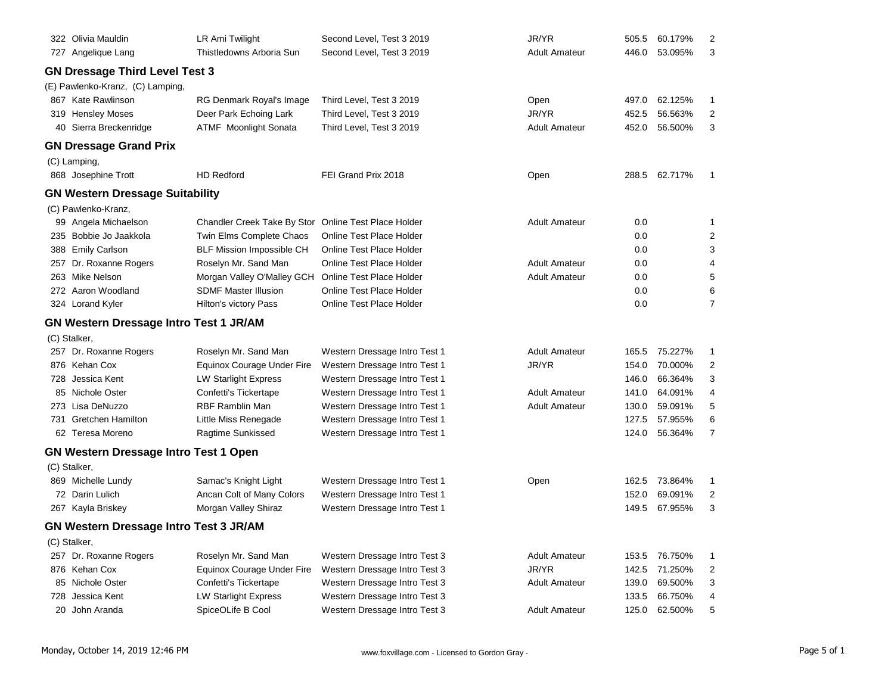|     | 322 Olivia Mauldin                            | LR Ami Twilight                    | Second Level, Test 3 2019       | JR/YR                | 505.5 | 60.179% | 2              |
|-----|-----------------------------------------------|------------------------------------|---------------------------------|----------------------|-------|---------|----------------|
|     | 727 Angelique Lang                            | Thistledowns Arboria Sun           | Second Level, Test 3 2019       | <b>Adult Amateur</b> | 446.0 | 53.095% | 3              |
|     | <b>GN Dressage Third Level Test 3</b>         |                                    |                                 |                      |       |         |                |
|     | (E) Pawlenko-Kranz, (C) Lamping,              |                                    |                                 |                      |       |         |                |
|     | 867 Kate Rawlinson                            | RG Denmark Royal's Image           | Third Level, Test 3 2019        | Open                 | 497.0 | 62.125% | 1              |
|     | 319 Hensley Moses                             | Deer Park Echoing Lark             | Third Level, Test 3 2019        | JR/YR                | 452.5 | 56.563% | $\overline{2}$ |
|     | 40 Sierra Breckenridge                        | <b>ATMF</b> Moonlight Sonata       | Third Level, Test 3 2019        | <b>Adult Amateur</b> | 452.0 | 56.500% | 3              |
|     | <b>GN Dressage Grand Prix</b>                 |                                    |                                 |                      |       |         |                |
|     |                                               |                                    |                                 |                      |       |         |                |
|     | (C) Lamping,<br>868 Josephine Trott           | <b>HD Redford</b>                  | FEI Grand Prix 2018             | Open                 | 288.5 | 62.717% | 1              |
|     |                                               |                                    |                                 |                      |       |         |                |
|     | <b>GN Western Dressage Suitability</b>        |                                    |                                 |                      |       |         |                |
|     | (C) Pawlenko-Kranz,                           |                                    |                                 |                      |       |         |                |
|     | 99 Angela Michaelson                          | <b>Chandler Creek Take By Stor</b> | Online Test Place Holder        | <b>Adult Amateur</b> | 0.0   |         | 1              |
|     | 235 Bobbie Jo Jaakkola                        | Twin Elms Complete Chaos           | <b>Online Test Place Holder</b> |                      | 0.0   |         | $\overline{2}$ |
|     | 388 Emily Carlson                             | <b>BLF Mission Impossible CH</b>   | Online Test Place Holder        |                      | 0.0   |         | 3              |
|     | 257 Dr. Roxanne Rogers                        | Roselyn Mr. Sand Man               | Online Test Place Holder        | <b>Adult Amateur</b> | 0.0   |         | 4              |
|     | 263 Mike Nelson                               | Morgan Valley O'Malley GCH         | Online Test Place Holder        | <b>Adult Amateur</b> | 0.0   |         | 5              |
|     | 272 Aaron Woodland                            | <b>SDMF Master Illusion</b>        | Online Test Place Holder        |                      | 0.0   |         | 6              |
|     | 324 Lorand Kyler                              | Hilton's victory Pass              | Online Test Place Holder        |                      | 0.0   |         | $\overline{7}$ |
|     | <b>GN Western Dressage Intro Test 1 JR/AM</b> |                                    |                                 |                      |       |         |                |
|     | (C) Stalker,                                  |                                    |                                 |                      |       |         |                |
|     | 257 Dr. Roxanne Rogers                        | Roselyn Mr. Sand Man               | Western Dressage Intro Test 1   | <b>Adult Amateur</b> | 165.5 | 75.227% | 1              |
|     | 876 Kehan Cox                                 | Equinox Courage Under Fire         | Western Dressage Intro Test 1   | JR/YR                | 154.0 | 70.000% | $\overline{2}$ |
|     | 728 Jessica Kent                              | <b>LW Starlight Express</b>        | Western Dressage Intro Test 1   |                      | 146.0 | 66.364% | 3              |
|     | 85 Nichole Oster                              | Confetti's Tickertape              | Western Dressage Intro Test 1   | <b>Adult Amateur</b> | 141.0 | 64.091% | 4              |
|     | 273 Lisa DeNuzzo                              | <b>RBF Ramblin Man</b>             | Western Dressage Intro Test 1   | <b>Adult Amateur</b> | 130.0 | 59.091% | 5              |
|     | 731 Gretchen Hamilton                         | Little Miss Renegade               | Western Dressage Intro Test 1   |                      | 127.5 | 57.955% | 6              |
|     | 62 Teresa Moreno                              | Ragtime Sunkissed                  | Western Dressage Intro Test 1   |                      | 124.0 | 56.364% | $\overline{7}$ |
|     | GN Western Dressage Intro Test 1 Open         |                                    |                                 |                      |       |         |                |
|     | (C) Stalker,                                  |                                    |                                 |                      |       |         |                |
|     | 869 Michelle Lundy                            | Samac's Knight Light               | Western Dressage Intro Test 1   | Open                 | 162.5 | 73.864% | 1              |
|     | 72 Darin Lulich                               | Ancan Colt of Many Colors          | Western Dressage Intro Test 1   |                      | 152.0 | 69.091% | $\overline{2}$ |
|     | 267 Kayla Briskey                             | Morgan Valley Shiraz               | Western Dressage Intro Test 1   |                      | 149.5 | 67.955% | 3              |
|     | <b>GN Western Dressage Intro Test 3 JR/AM</b> |                                    |                                 |                      |       |         |                |
|     | (C) Stalker,                                  |                                    |                                 |                      |       |         |                |
|     | 257 Dr. Roxanne Rogers                        | Roselyn Mr. Sand Man               | Western Dressage Intro Test 3   | <b>Adult Amateur</b> | 153.5 | 76.750% | 1              |
|     | 876 Kehan Cox                                 | Equinox Courage Under Fire         | Western Dressage Intro Test 3   | JR/YR                | 142.5 | 71.250% | 2              |
|     | 85 Nichole Oster                              | Confetti's Tickertape              | Western Dressage Intro Test 3   | <b>Adult Amateur</b> | 139.0 | 69.500% | 3              |
| 728 | Jessica Kent                                  | <b>LW Starlight Express</b>        | Western Dressage Intro Test 3   |                      | 133.5 | 66.750% | 4              |
|     | 20 John Aranda                                | SpiceOLife B Cool                  | Western Dressage Intro Test 3   | <b>Adult Amateur</b> | 125.0 | 62.500% | 5              |
|     |                                               |                                    |                                 |                      |       |         |                |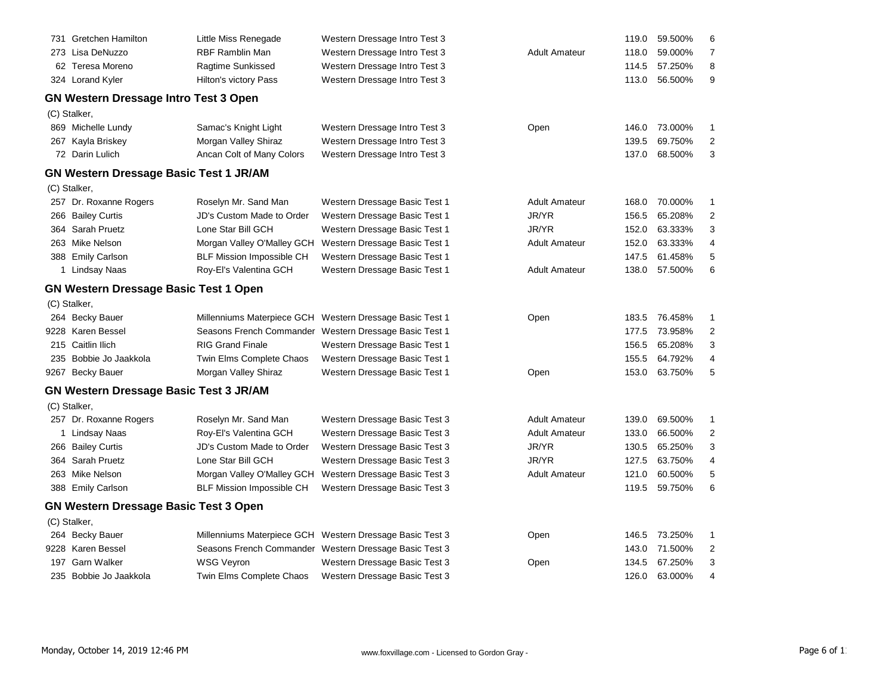|     | 731 Gretchen Hamilton                         | Little Miss Renegade             | Western Dressage Intro Test 3                            |                      | 119.0 | 59.500% | 6                       |
|-----|-----------------------------------------------|----------------------------------|----------------------------------------------------------|----------------------|-------|---------|-------------------------|
|     | 273 Lisa DeNuzzo                              | <b>RBF Ramblin Man</b>           | Western Dressage Intro Test 3                            | <b>Adult Amateur</b> | 118.0 | 59.000% | $\overline{7}$          |
|     | 62 Teresa Moreno                              | Ragtime Sunkissed                | Western Dressage Intro Test 3                            |                      | 114.5 | 57.250% | 8                       |
|     | 324 Lorand Kyler                              | Hilton's victory Pass            | Western Dressage Intro Test 3                            |                      | 113.0 | 56.500% | 9                       |
|     | <b>GN Western Dressage Intro Test 3 Open</b>  |                                  |                                                          |                      |       |         |                         |
|     | (C) Stalker,                                  |                                  |                                                          |                      |       |         |                         |
|     | 869 Michelle Lundy                            | Samac's Knight Light             | Western Dressage Intro Test 3                            | Open                 | 146.0 | 73.000% | 1                       |
|     | 267 Kayla Briskey                             | Morgan Valley Shiraz             | Western Dressage Intro Test 3                            |                      | 139.5 | 69.750% | $\overline{2}$          |
|     | 72 Darin Lulich                               | Ancan Colt of Many Colors        | Western Dressage Intro Test 3                            |                      | 137.0 | 68.500% | 3                       |
|     | <b>GN Western Dressage Basic Test 1 JR/AM</b> |                                  |                                                          |                      |       |         |                         |
|     | (C) Stalker,                                  |                                  |                                                          |                      |       |         |                         |
|     | 257 Dr. Roxanne Rogers                        | Roselyn Mr. Sand Man             | Western Dressage Basic Test 1                            | <b>Adult Amateur</b> | 168.0 | 70.000% | -1                      |
|     | 266 Bailey Curtis                             | JD's Custom Made to Order        | Western Dressage Basic Test 1                            | JR/YR                | 156.5 | 65.208% | $\overline{2}$          |
| 364 | Sarah Pruetz                                  | Lone Star Bill GCH               | Western Dressage Basic Test 1                            | JR/YR                | 152.0 | 63.333% | 3                       |
|     | 263 Mike Nelson                               | Morgan Valley O'Malley GCH       | Western Dressage Basic Test 1                            | <b>Adult Amateur</b> | 152.0 | 63.333% | 4                       |
|     | 388 Emily Carlson                             | <b>BLF Mission Impossible CH</b> | Western Dressage Basic Test 1                            |                      | 147.5 | 61.458% | 5                       |
|     | 1 Lindsay Naas                                | Roy-El's Valentina GCH           | Western Dressage Basic Test 1                            | <b>Adult Amateur</b> | 138.0 | 57.500% | 6                       |
|     | <b>GN Western Dressage Basic Test 1 Open</b>  |                                  |                                                          |                      |       |         |                         |
|     | (C) Stalker,                                  |                                  |                                                          |                      |       |         |                         |
|     | 264 Becky Bauer                               | Millenniums Materpiece GCH       | Western Dressage Basic Test 1                            | Open                 | 183.5 | 76.458% | $\mathbf{1}$            |
|     | 9228 Karen Bessel                             |                                  | Seasons French Commander Western Dressage Basic Test 1   |                      | 177.5 | 73.958% | $\overline{\mathbf{c}}$ |
|     | 215 Caitlin Ilich                             | <b>RIG Grand Finale</b>          | Western Dressage Basic Test 1                            |                      | 156.5 | 65.208% | 3                       |
|     | 235 Bobbie Jo Jaakkola                        | Twin Elms Complete Chaos         | Western Dressage Basic Test 1                            |                      | 155.5 | 64.792% | 4                       |
|     | 9267 Becky Bauer                              | Morgan Valley Shiraz             | Western Dressage Basic Test 1                            | Open                 | 153.0 | 63.750% | 5                       |
|     | <b>GN Western Dressage Basic Test 3 JR/AM</b> |                                  |                                                          |                      |       |         |                         |
|     | (C) Stalker,                                  |                                  |                                                          |                      |       |         |                         |
|     | 257 Dr. Roxanne Rogers                        | Roselyn Mr. Sand Man             | Western Dressage Basic Test 3                            | <b>Adult Amateur</b> | 139.0 | 69.500% | 1                       |
|     | 1 Lindsay Naas                                | Roy-El's Valentina GCH           | Western Dressage Basic Test 3                            | <b>Adult Amateur</b> | 133.0 | 66.500% | $\overline{\mathbf{c}}$ |
|     | 266 Bailey Curtis                             | JD's Custom Made to Order        | Western Dressage Basic Test 3                            | JR/YR                | 130.5 | 65.250% | 3                       |
|     | 364 Sarah Pruetz                              | Lone Star Bill GCH               | Western Dressage Basic Test 3                            | JR/YR                | 127.5 | 63.750% | $\overline{4}$          |
|     | 263 Mike Nelson                               | Morgan Valley O'Malley GCH       | Western Dressage Basic Test 3                            | <b>Adult Amateur</b> | 121.0 | 60.500% | 5                       |
|     | 388 Emily Carlson                             | <b>BLF Mission Impossible CH</b> | Western Dressage Basic Test 3                            |                      | 119.5 | 59.750% | 6                       |
|     | <b>GN Western Dressage Basic Test 3 Open</b>  |                                  |                                                          |                      |       |         |                         |
|     | (C) Stalker,                                  |                                  |                                                          |                      |       |         |                         |
|     | 264 Becky Bauer                               |                                  | Millenniums Materpiece GCH Western Dressage Basic Test 3 | Open                 | 146.5 | 73.250% | 1                       |
|     | 9228 Karen Bessel                             |                                  | Seasons French Commander Western Dressage Basic Test 3   |                      | 143.0 | 71.500% | $\overline{2}$          |
|     | 197 Garn Walker                               | <b>WSG Veyron</b>                | Western Dressage Basic Test 3                            | Open                 | 134.5 | 67.250% | 3                       |
|     | 235 Bobbie Jo Jaakkola                        | Twin Elms Complete Chaos         | Western Dressage Basic Test 3                            |                      | 126.0 | 63.000% | 4                       |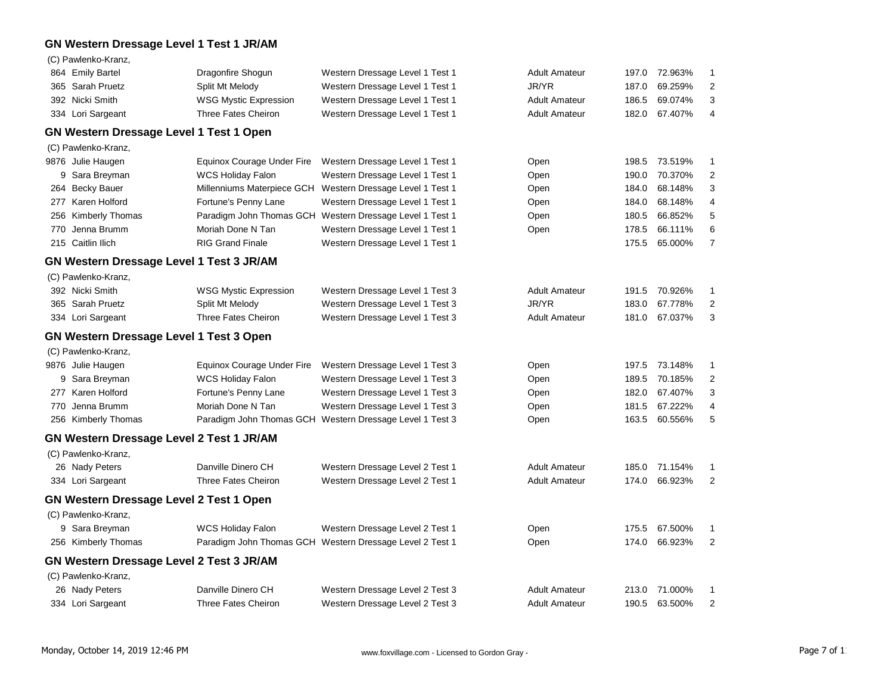# **GN Western Dressage Level 1 Test 1 JR/AM**

|     | (C) Pawlenko-Kranz,                             |                              |                                                          |                      |       |         |                |
|-----|-------------------------------------------------|------------------------------|----------------------------------------------------------|----------------------|-------|---------|----------------|
|     | 864 Emily Bartel                                | Dragonfire Shogun            | Western Dressage Level 1 Test 1                          | <b>Adult Amateur</b> | 197.0 | 72.963% | 1              |
|     | 365 Sarah Pruetz                                | Split Mt Melody              | Western Dressage Level 1 Test 1                          | JR/YR                | 187.0 | 69.259% | $\overline{2}$ |
|     | 392 Nicki Smith                                 | <b>WSG Mystic Expression</b> | Western Dressage Level 1 Test 1                          | <b>Adult Amateur</b> | 186.5 | 69.074% | 3              |
|     | 334 Lori Sargeant                               | <b>Three Fates Cheiron</b>   | Western Dressage Level 1 Test 1                          | <b>Adult Amateur</b> | 182.0 | 67.407% | 4              |
|     | GN Western Dressage Level 1 Test 1 Open         |                              |                                                          |                      |       |         |                |
|     | (C) Pawlenko-Kranz,                             |                              |                                                          |                      |       |         |                |
|     | 9876 Julie Haugen                               | Equinox Courage Under Fire   | Western Dressage Level 1 Test 1                          | Open                 | 198.5 | 73.519% | 1              |
|     | 9 Sara Breyman                                  | <b>WCS Holiday Falon</b>     | Western Dressage Level 1 Test 1                          | Open                 | 190.0 | 70.370% | 2              |
|     | 264 Becky Bauer                                 | Millenniums Materpiece GCH   | Western Dressage Level 1 Test 1                          | Open                 | 184.0 | 68.148% | 3              |
|     | 277 Karen Holford                               | Fortune's Penny Lane         | Western Dressage Level 1 Test 1                          | Open                 | 184.0 | 68.148% | 4              |
|     | 256 Kimberly Thomas                             |                              | Paradigm John Thomas GCH Western Dressage Level 1 Test 1 | Open                 | 180.5 | 66.852% | 5              |
| 770 | Jenna Brumm                                     | Moriah Done N Tan            | Western Dressage Level 1 Test 1                          | Open                 | 178.5 | 66.111% | 6              |
|     | 215 Caitlin Ilich                               | <b>RIG Grand Finale</b>      | Western Dressage Level 1 Test 1                          |                      | 175.5 | 65.000% | 7              |
|     | GN Western Dressage Level 1 Test 3 JR/AM        |                              |                                                          |                      |       |         |                |
|     | (C) Pawlenko-Kranz,                             |                              |                                                          |                      |       |         |                |
|     | 392 Nicki Smith                                 | <b>WSG Mystic Expression</b> | Western Dressage Level 1 Test 3                          | <b>Adult Amateur</b> | 191.5 | 70.926% | 1              |
|     | 365 Sarah Pruetz                                | Split Mt Melody              | Western Dressage Level 1 Test 3                          | JR/YR                | 183.0 | 67.778% | $\overline{2}$ |
|     | 334 Lori Sargeant                               | <b>Three Fates Cheiron</b>   | Western Dressage Level 1 Test 3                          | <b>Adult Amateur</b> | 181.0 | 67.037% | 3              |
|     | <b>GN Western Dressage Level 1 Test 3 Open</b>  |                              |                                                          |                      |       |         |                |
|     | (C) Pawlenko-Kranz,                             |                              |                                                          |                      |       |         |                |
|     | 9876 Julie Haugen                               | Equinox Courage Under Fire   | Western Dressage Level 1 Test 3                          | Open                 | 197.5 | 73.148% | 1              |
|     | 9 Sara Breyman                                  | <b>WCS Holiday Falon</b>     | Western Dressage Level 1 Test 3                          | Open                 | 189.5 | 70.185% | $\overline{c}$ |
|     | 277 Karen Holford                               | Fortune's Penny Lane         | Western Dressage Level 1 Test 3                          | Open                 | 182.0 | 67.407% | 3              |
|     | 770 Jenna Brumm                                 | Moriah Done N Tan            | Western Dressage Level 1 Test 3                          | Open                 | 181.5 | 67.222% | 4              |
|     | 256 Kimberly Thomas                             |                              | Paradigm John Thomas GCH Western Dressage Level 1 Test 3 | Open                 | 163.5 | 60.556% | 5              |
|     | GN Western Dressage Level 2 Test 1 JR/AM        |                              |                                                          |                      |       |         |                |
|     | (C) Pawlenko-Kranz,                             |                              |                                                          |                      |       |         |                |
|     | 26 Nady Peters                                  | Danville Dinero CH           | Western Dressage Level 2 Test 1                          | <b>Adult Amateur</b> | 185.0 | 71.154% | 1              |
|     | 334 Lori Sargeant                               | <b>Three Fates Cheiron</b>   | Western Dressage Level 2 Test 1                          | <b>Adult Amateur</b> | 174.0 | 66.923% | $\overline{2}$ |
|     | <b>GN Western Dressage Level 2 Test 1 Open</b>  |                              |                                                          |                      |       |         |                |
|     | (C) Pawlenko-Kranz,                             |                              |                                                          |                      |       |         |                |
|     | 9 Sara Breyman                                  | <b>WCS Holiday Falon</b>     | Western Dressage Level 2 Test 1                          | Open                 | 175.5 | 67.500% | 1              |
|     | 256 Kimberly Thomas                             |                              | Paradigm John Thomas GCH Western Dressage Level 2 Test 1 | Open                 | 174.0 | 66.923% | $\overline{2}$ |
|     | <b>GN Western Dressage Level 2 Test 3 JR/AM</b> |                              |                                                          |                      |       |         |                |
|     | (C) Pawlenko-Kranz,                             |                              |                                                          |                      |       |         |                |
|     | 26 Nady Peters                                  | Danville Dinero CH           | Western Dressage Level 2 Test 3                          | <b>Adult Amateur</b> | 213.0 | 71.000% | 1              |
|     | 334 Lori Sargeant                               | Three Fates Cheiron          | Western Dressage Level 2 Test 3                          | <b>Adult Amateur</b> | 190.5 | 63.500% | $\overline{2}$ |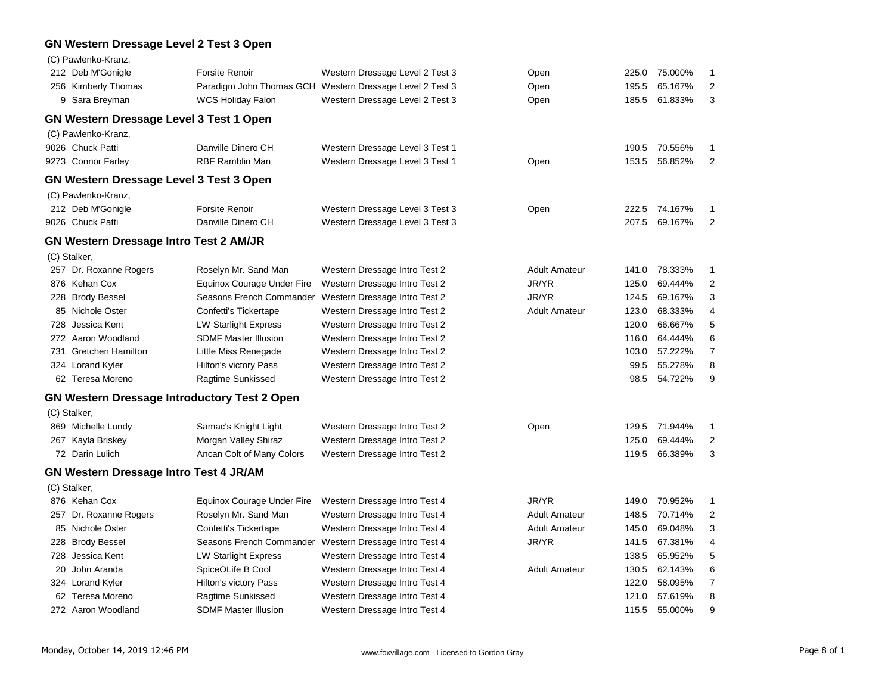### **GN Western Dressage Level 2 Test 3 Open**

|     | (C) Pawlenko-Kranz,                                 |                             |                                                          |                      |       |         |                         |
|-----|-----------------------------------------------------|-----------------------------|----------------------------------------------------------|----------------------|-------|---------|-------------------------|
|     | 212 Deb M'Gonigle                                   | Forsite Renoir              | Western Dressage Level 2 Test 3                          | Open                 | 225.0 | 75.000% | 1                       |
|     | 256 Kimberly Thomas                                 |                             | Paradigm John Thomas GCH Western Dressage Level 2 Test 3 | Open                 | 195.5 | 65.167% | $\boldsymbol{2}$        |
|     | 9 Sara Breyman                                      | <b>WCS Holiday Falon</b>    | Western Dressage Level 2 Test 3                          | Open                 | 185.5 | 61.833% | 3                       |
|     | <b>GN Western Dressage Level 3 Test 1 Open</b>      |                             |                                                          |                      |       |         |                         |
|     | (C) Pawlenko-Kranz,                                 |                             |                                                          |                      |       |         |                         |
|     | 9026 Chuck Patti                                    | Danville Dinero CH          | Western Dressage Level 3 Test 1                          |                      | 190.5 | 70.556% | 1                       |
|     | 9273 Connor Farley                                  | <b>RBF Ramblin Man</b>      | Western Dressage Level 3 Test 1                          | Open                 | 153.5 | 56.852% | $\overline{2}$          |
|     | <b>GN Western Dressage Level 3 Test 3 Open</b>      |                             |                                                          |                      |       |         |                         |
|     | (C) Pawlenko-Kranz,                                 |                             |                                                          |                      |       |         |                         |
|     | 212 Deb M'Gonigle                                   | <b>Forsite Renoir</b>       | Western Dressage Level 3 Test 3                          | Open                 | 222.5 | 74.167% | 1                       |
|     | 9026 Chuck Patti                                    | Danville Dinero CH          | Western Dressage Level 3 Test 3                          |                      | 207.5 | 69.167% | $\overline{2}$          |
|     | <b>GN Western Dressage Intro Test 2 AM/JR</b>       |                             |                                                          |                      |       |         |                         |
|     | (C) Stalker,                                        |                             |                                                          |                      |       |         |                         |
|     | 257 Dr. Roxanne Rogers                              | Roselyn Mr. Sand Man        | Western Dressage Intro Test 2                            | <b>Adult Amateur</b> | 141.0 | 78.333% | 1                       |
|     | 876 Kehan Cox                                       | Equinox Courage Under Fire  | Western Dressage Intro Test 2                            | JR/YR                | 125.0 | 69.444% | $\overline{\mathbf{c}}$ |
|     | 228 Brody Bessel                                    | Seasons French Commander    | Western Dressage Intro Test 2                            | JR/YR                | 124.5 | 69.167% | 3                       |
|     | 85 Nichole Oster                                    | Confetti's Tickertape       | Western Dressage Intro Test 2                            | <b>Adult Amateur</b> | 123.0 | 68.333% | 4                       |
| 728 | Jessica Kent                                        | <b>LW Starlight Express</b> | Western Dressage Intro Test 2                            |                      | 120.0 | 66.667% | 5                       |
|     | 272 Aaron Woodland                                  | <b>SDMF Master Illusion</b> | Western Dressage Intro Test 2                            |                      | 116.0 | 64.444% | 6                       |
|     | 731 Gretchen Hamilton                               | Little Miss Renegade        | Western Dressage Intro Test 2                            |                      | 103.0 | 57.222% | $\overline{7}$          |
|     | 324 Lorand Kyler                                    | Hilton's victory Pass       | Western Dressage Intro Test 2                            |                      | 99.5  | 55.278% | 8                       |
|     | 62 Teresa Moreno                                    | Ragtime Sunkissed           | Western Dressage Intro Test 2                            |                      | 98.5  | 54.722% | 9                       |
|     | <b>GN Western Dressage Introductory Test 2 Open</b> |                             |                                                          |                      |       |         |                         |
|     | (C) Stalker,                                        |                             |                                                          |                      |       |         |                         |
|     | 869 Michelle Lundy                                  | Samac's Knight Light        | Western Dressage Intro Test 2                            | Open                 | 129.5 | 71.944% | 1                       |
|     | 267 Kayla Briskey                                   | Morgan Valley Shiraz        | Western Dressage Intro Test 2                            |                      | 125.0 | 69.444% | $\overline{2}$          |
|     | 72 Darin Lulich                                     | Ancan Colt of Many Colors   | Western Dressage Intro Test 2                            |                      | 119.5 | 66.389% | 3                       |
|     | <b>GN Western Dressage Intro Test 4 JR/AM</b>       |                             |                                                          |                      |       |         |                         |
|     | (C) Stalker,                                        |                             |                                                          |                      |       |         |                         |
|     | 876 Kehan Cox                                       | Equinox Courage Under Fire  | Western Dressage Intro Test 4                            | JR/YR                | 149.0 | 70.952% | 1                       |
|     | 257 Dr. Roxanne Rogers                              | Roselyn Mr. Sand Man        | Western Dressage Intro Test 4                            | <b>Adult Amateur</b> | 148.5 | 70.714% | $\overline{2}$          |
|     | 85 Nichole Oster                                    | Confetti's Tickertape       | Western Dressage Intro Test 4                            | <b>Adult Amateur</b> | 145.0 | 69.048% | 3                       |
|     | 228 Brody Bessel                                    | Seasons French Commander    | Western Dressage Intro Test 4                            | JR/YR                | 141.5 | 67.381% | 4                       |
|     | 728 Jessica Kent                                    | <b>LW Starlight Express</b> | Western Dressage Intro Test 4                            |                      | 138.5 | 65.952% | 5                       |
|     | 20 John Aranda                                      | SpiceOLife B Cool           | Western Dressage Intro Test 4                            | <b>Adult Amateur</b> | 130.5 | 62.143% | 6                       |
|     | 324 Lorand Kyler                                    | Hilton's victory Pass       | Western Dressage Intro Test 4                            |                      | 122.0 | 58.095% | 7                       |
|     | 62 Teresa Moreno                                    | Ragtime Sunkissed           | Western Dressage Intro Test 4                            |                      | 121.0 | 57.619% | 8                       |
|     | 272 Aaron Woodland                                  | <b>SDMF Master Illusion</b> | Western Dressage Intro Test 4                            |                      | 115.5 | 55.000% | 9                       |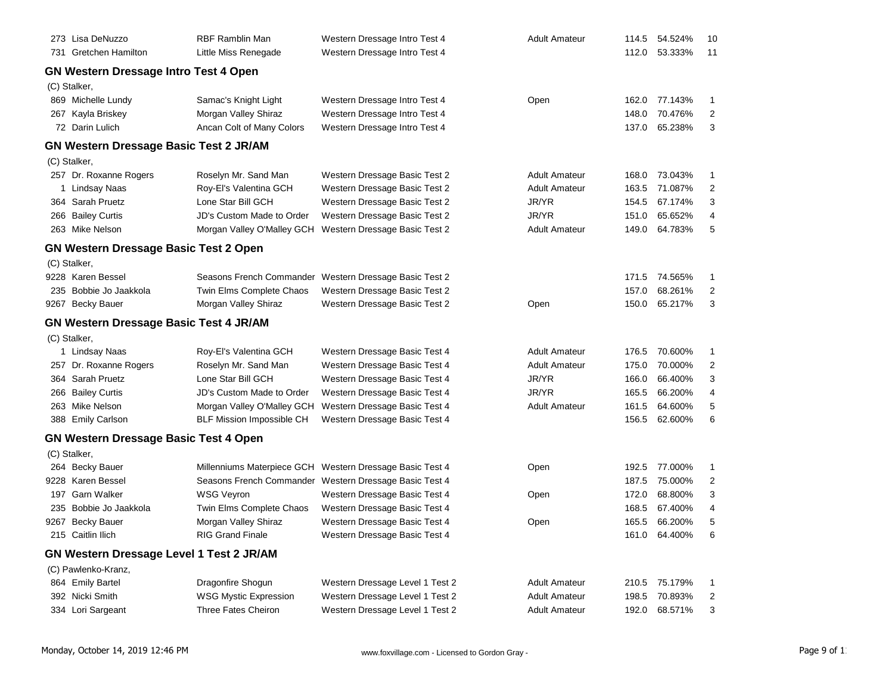| 273 Lisa DeNuzzo                                | RBF Ramblin Man                  | Western Dressage Intro Test 4                          | Adult Amateur        | 114.5 | 54.524%       | 10                      |
|-------------------------------------------------|----------------------------------|--------------------------------------------------------|----------------------|-------|---------------|-------------------------|
| 731 Gretchen Hamilton                           | Little Miss Renegade             | Western Dressage Intro Test 4                          |                      |       | 112.0 53.333% | 11                      |
| <b>GN Western Dressage Intro Test 4 Open</b>    |                                  |                                                        |                      |       |               |                         |
| (C) Stalker,                                    |                                  |                                                        |                      |       |               |                         |
| 869 Michelle Lundy                              | Samac's Knight Light             | Western Dressage Intro Test 4                          | Open                 | 162.0 | 77.143%       | 1                       |
| 267 Kayla Briskey                               | Morgan Valley Shiraz             | Western Dressage Intro Test 4                          |                      | 148.0 | 70.476%       | 2                       |
| 72 Darin Lulich                                 | Ancan Colt of Many Colors        | Western Dressage Intro Test 4                          |                      | 137.0 | 65.238%       | 3                       |
| <b>GN Western Dressage Basic Test 2 JR/AM</b>   |                                  |                                                        |                      |       |               |                         |
| (C) Stalker,                                    |                                  |                                                        |                      |       |               |                         |
| 257 Dr. Roxanne Rogers                          | Roselyn Mr. Sand Man             | Western Dressage Basic Test 2                          | <b>Adult Amateur</b> | 168.0 | 73.043%       | 1                       |
| 1 Lindsay Naas                                  | Roy-El's Valentina GCH           | Western Dressage Basic Test 2                          | <b>Adult Amateur</b> | 163.5 | 71.087%       | 2                       |
| 364 Sarah Pruetz                                | Lone Star Bill GCH               | Western Dressage Basic Test 2                          | JR/YR                | 154.5 | 67.174%       | 3                       |
| 266 Bailey Curtis                               | JD's Custom Made to Order        | Western Dressage Basic Test 2                          | JR/YR                | 151.0 | 65.652%       | 4                       |
| 263 Mike Nelson                                 | Morgan Valley O'Malley GCH       | Western Dressage Basic Test 2                          | <b>Adult Amateur</b> | 149.0 | 64.783%       | 5                       |
| <b>GN Western Dressage Basic Test 2 Open</b>    |                                  |                                                        |                      |       |               |                         |
| (C) Stalker,                                    |                                  |                                                        |                      |       |               |                         |
| 9228 Karen Bessel                               | Seasons French Commander         | Western Dressage Basic Test 2                          |                      |       | 171.5 74.565% | 1                       |
| 235 Bobbie Jo Jaakkola                          | Twin Elms Complete Chaos         | Western Dressage Basic Test 2                          |                      | 157.0 | 68.261%       | 2                       |
| 9267 Becky Bauer                                | Morgan Valley Shiraz             | Western Dressage Basic Test 2                          | Open                 | 150.0 | 65.217%       | 3                       |
| <b>GN Western Dressage Basic Test 4 JR/AM</b>   |                                  |                                                        |                      |       |               |                         |
| (C) Stalker,                                    |                                  |                                                        |                      |       |               |                         |
| 1 Lindsay Naas                                  | Roy-El's Valentina GCH           | Western Dressage Basic Test 4                          | <b>Adult Amateur</b> | 176.5 | 70.600%       | 1                       |
| 257 Dr. Roxanne Rogers                          | Roselyn Mr. Sand Man             | Western Dressage Basic Test 4                          | <b>Adult Amateur</b> | 175.0 | 70.000%       | 2                       |
| 364 Sarah Pruetz                                | Lone Star Bill GCH               | Western Dressage Basic Test 4                          | JR/YR                | 166.0 | 66.400%       | 3                       |
| 266 Bailey Curtis                               | JD's Custom Made to Order        | Western Dressage Basic Test 4                          | JR/YR                | 165.5 | 66.200%       | 4                       |
| 263 Mike Nelson                                 | Morgan Valley O'Malley GCH       | Western Dressage Basic Test 4                          | <b>Adult Amateur</b> | 161.5 | 64.600%       | 5                       |
| 388 Emily Carlson                               | <b>BLF Mission Impossible CH</b> | Western Dressage Basic Test 4                          |                      | 156.5 | 62.600%       | 6                       |
| <b>GN Western Dressage Basic Test 4 Open</b>    |                                  |                                                        |                      |       |               |                         |
| (C) Stalker,                                    |                                  |                                                        |                      |       |               |                         |
| 264 Becky Bauer                                 | Millenniums Materpiece GCH       | Western Dressage Basic Test 4                          | Open                 | 192.5 | 77.000%       | 1                       |
| 9228 Karen Bessel                               |                                  | Seasons French Commander Western Dressage Basic Test 4 |                      | 187.5 | 75.000%       | 2                       |
| 197 Garn Walker                                 | <b>WSG Veyron</b>                | Western Dressage Basic Test 4                          | Open                 | 172.0 | 68.800%       | 3                       |
| 235 Bobbie Jo Jaakkola                          | Twin Elms Complete Chaos         | Western Dressage Basic Test 4                          |                      | 168.5 | 67.400%       | 4                       |
| 9267 Becky Bauer                                | Morgan Valley Shiraz             | Western Dressage Basic Test 4                          | Open                 |       | 165.5 66.200% | 5                       |
| 215 Caitlin Ilich                               | <b>RIG Grand Finale</b>          | Western Dressage Basic Test 4                          |                      |       | 161.0 64.400% | 6                       |
| <b>GN Western Dressage Level 1 Test 2 JR/AM</b> |                                  |                                                        |                      |       |               |                         |
| (C) Pawlenko-Kranz,                             |                                  |                                                        |                      |       |               |                         |
| 864 Emily Bartel                                | Dragonfire Shogun                | Western Dressage Level 1 Test 2                        | <b>Adult Amateur</b> | 210.5 | 75.179%       | 1                       |
| 392 Nicki Smith                                 | <b>WSG Mystic Expression</b>     | Western Dressage Level 1 Test 2                        | <b>Adult Amateur</b> | 198.5 | 70.893%       | $\overline{\mathbf{c}}$ |
| 334 Lori Sargeant                               | Three Fates Cheiron              | Western Dressage Level 1 Test 2                        | <b>Adult Amateur</b> | 192.0 | 68.571%       | 3                       |
|                                                 |                                  |                                                        |                      |       |               |                         |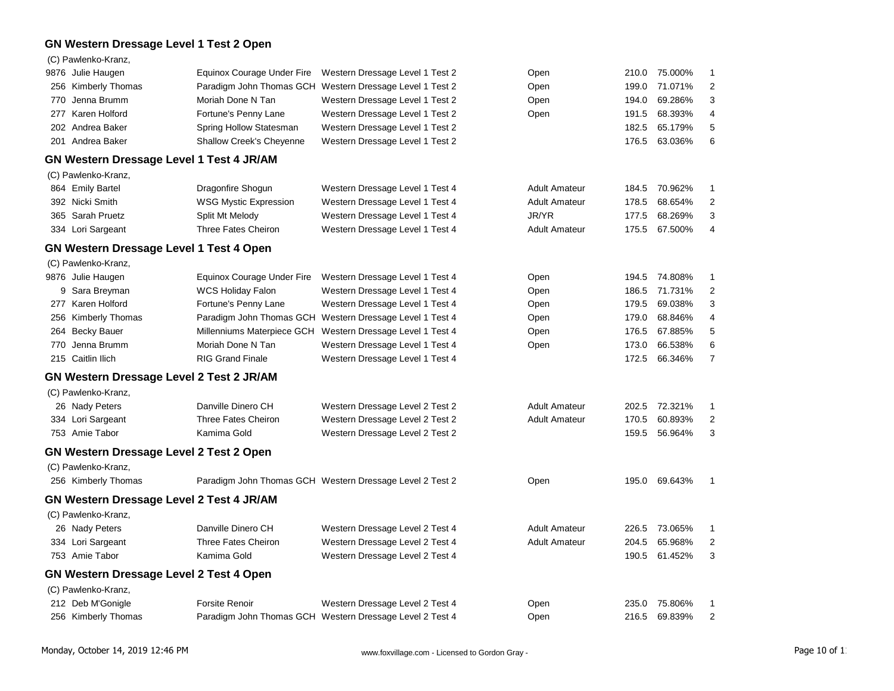### **GN Western Dressage Level 1 Test 2 Open**

|     | (C) Pawlenko-Kranz,                             |                                 |                                                          |                      |       |         |                         |
|-----|-------------------------------------------------|---------------------------------|----------------------------------------------------------|----------------------|-------|---------|-------------------------|
|     | 9876 Julie Haugen                               | Equinox Courage Under Fire      | Western Dressage Level 1 Test 2                          | Open                 | 210.0 | 75.000% | 1                       |
|     | 256 Kimberly Thomas                             | Paradigm John Thomas GCH        | Western Dressage Level 1 Test 2                          | Open                 | 199.0 | 71.071% | $\overline{2}$          |
| 770 | Jenna Brumm                                     | Moriah Done N Tan               | Western Dressage Level 1 Test 2                          | Open                 | 194.0 | 69.286% | 3                       |
|     | 277 Karen Holford                               | Fortune's Penny Lane            | Western Dressage Level 1 Test 2                          | Open                 | 191.5 | 68.393% | 4                       |
|     | 202 Andrea Baker                                | Spring Hollow Statesman         | Western Dressage Level 1 Test 2                          |                      | 182.5 | 65.179% | 5                       |
|     | 201 Andrea Baker                                | <b>Shallow Creek's Cheyenne</b> | Western Dressage Level 1 Test 2                          |                      | 176.5 | 63.036% | 6                       |
|     | GN Western Dressage Level 1 Test 4 JR/AM        |                                 |                                                          |                      |       |         |                         |
|     | (C) Pawlenko-Kranz,                             |                                 |                                                          |                      |       |         |                         |
|     | 864 Emily Bartel                                | Dragonfire Shogun               | Western Dressage Level 1 Test 4                          | <b>Adult Amateur</b> | 184.5 | 70.962% | 1                       |
|     | 392 Nicki Smith                                 | <b>WSG Mystic Expression</b>    | Western Dressage Level 1 Test 4                          | <b>Adult Amateur</b> | 178.5 | 68.654% | $\overline{2}$          |
|     | 365 Sarah Pruetz                                | Split Mt Melody                 | Western Dressage Level 1 Test 4                          | JR/YR                | 177.5 | 68.269% | 3                       |
|     | 334 Lori Sargeant                               | <b>Three Fates Cheiron</b>      | Western Dressage Level 1 Test 4                          | <b>Adult Amateur</b> | 175.5 | 67.500% | 4                       |
|     | <b>GN Western Dressage Level 1 Test 4 Open</b>  |                                 |                                                          |                      |       |         |                         |
|     | (C) Pawlenko-Kranz,                             |                                 |                                                          |                      |       |         |                         |
|     | 9876 Julie Haugen                               | Equinox Courage Under Fire      | Western Dressage Level 1 Test 4                          | Open                 | 194.5 | 74.808% | 1                       |
|     | 9 Sara Breyman                                  | <b>WCS Holiday Falon</b>        | Western Dressage Level 1 Test 4                          | Open                 | 186.5 | 71.731% | $\overline{\mathbf{c}}$ |
|     | 277 Karen Holford                               | Fortune's Penny Lane            | Western Dressage Level 1 Test 4                          | Open                 | 179.5 | 69.038% | 3                       |
|     | 256 Kimberly Thomas                             | Paradigm John Thomas GCH        | Western Dressage Level 1 Test 4                          | Open                 | 179.0 | 68.846% | 4                       |
|     | 264 Becky Bauer                                 | Millenniums Materpiece GCH      | Western Dressage Level 1 Test 4                          | Open                 | 176.5 | 67.885% | 5                       |
| 770 | Jenna Brumm                                     | Moriah Done N Tan               | Western Dressage Level 1 Test 4                          | Open                 | 173.0 | 66.538% | 6                       |
|     | 215 Caitlin Ilich                               | <b>RIG Grand Finale</b>         | Western Dressage Level 1 Test 4                          |                      | 172.5 | 66.346% | $\overline{7}$          |
|     | GN Western Dressage Level 2 Test 2 JR/AM        |                                 |                                                          |                      |       |         |                         |
|     | (C) Pawlenko-Kranz,                             |                                 |                                                          |                      |       |         |                         |
|     | 26 Nady Peters                                  | Danville Dinero CH              | Western Dressage Level 2 Test 2                          | <b>Adult Amateur</b> | 202.5 | 72.321% | 1                       |
|     | 334 Lori Sargeant                               | <b>Three Fates Cheiron</b>      | Western Dressage Level 2 Test 2                          | <b>Adult Amateur</b> | 170.5 | 60.893% | $\overline{c}$          |
|     | 753 Amie Tabor                                  | Kamima Gold                     | Western Dressage Level 2 Test 2                          |                      | 159.5 | 56.964% | 3                       |
|     | <b>GN Western Dressage Level 2 Test 2 Open</b>  |                                 |                                                          |                      |       |         |                         |
|     | (C) Pawlenko-Kranz,                             |                                 |                                                          |                      |       |         |                         |
|     | 256 Kimberly Thomas                             |                                 | Paradigm John Thomas GCH Western Dressage Level 2 Test 2 | Open                 | 195.0 | 69.643% | 1                       |
|     | <b>GN Western Dressage Level 2 Test 4 JR/AM</b> |                                 |                                                          |                      |       |         |                         |
|     | (C) Pawlenko-Kranz,                             |                                 |                                                          |                      |       |         |                         |
|     | 26 Nady Peters                                  | Danville Dinero CH              | Western Dressage Level 2 Test 4                          | <b>Adult Amateur</b> | 226.5 | 73.065% | 1                       |
|     | 334 Lori Sargeant                               | <b>Three Fates Cheiron</b>      | Western Dressage Level 2 Test 4                          | <b>Adult Amateur</b> | 204.5 | 65.968% | 2                       |
|     | 753 Amie Tabor                                  | Kamima Gold                     | Western Dressage Level 2 Test 4                          |                      | 190.5 | 61.452% | 3                       |
|     | <b>GN Western Dressage Level 2 Test 4 Open</b>  |                                 |                                                          |                      |       |         |                         |
|     | (C) Pawlenko-Kranz,                             |                                 |                                                          |                      |       |         |                         |
|     | 212 Deb M'Gonigle                               | <b>Forsite Renoir</b>           | Western Dressage Level 2 Test 4                          | Open                 | 235.0 | 75.806% | 1                       |
|     | 256 Kimberly Thomas                             |                                 | Paradigm John Thomas GCH Western Dressage Level 2 Test 4 | Open                 | 216.5 | 69.839% | $\overline{2}$          |
|     |                                                 |                                 |                                                          |                      |       |         |                         |